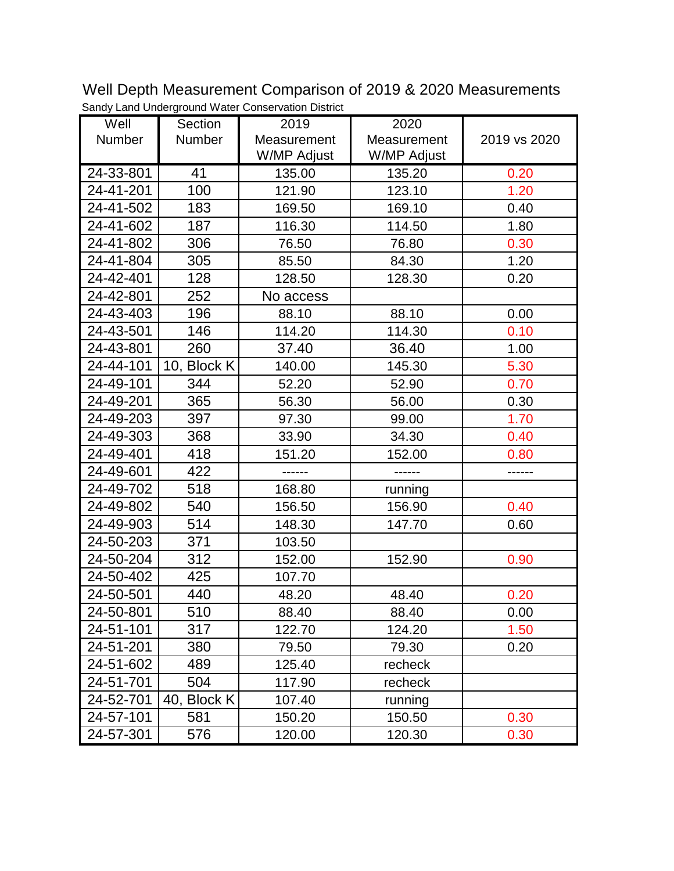Well Depth Measurement Comparison of 2019 & 2020 Measurements Sandy Land Underground Water Conservation District

| Well      | Section       | 2019        | 2020        |              |
|-----------|---------------|-------------|-------------|--------------|
| Number    | <b>Number</b> | Measurement | Measurement | 2019 vs 2020 |
|           |               | W/MP Adjust | W/MP Adjust |              |
| 24-33-801 | 41            | 135.00      | 135.20      | 0.20         |
| 24-41-201 | 100           | 121.90      | 123.10      | 1.20         |
| 24-41-502 | 183           | 169.50      | 169.10      | 0.40         |
| 24-41-602 | 187           | 116.30      | 114.50      | 1.80         |
| 24-41-802 | 306           | 76.50       | 76.80       | 0.30         |
| 24-41-804 | 305           | 85.50       | 84.30       | 1.20         |
| 24-42-401 | 128           | 128.50      | 128.30      | 0.20         |
| 24-42-801 | 252           | No access   |             |              |
| 24-43-403 | 196           | 88.10       | 88.10       | 0.00         |
| 24-43-501 | 146           | 114.20      | 114.30      | 0.10         |
| 24-43-801 | 260           | 37.40       | 36.40       | 1.00         |
| 24-44-101 | 10, Block K   | 140.00      | 145.30      | 5.30         |
| 24-49-101 | 344           | 52.20       | 52.90       | 0.70         |
| 24-49-201 | 365           | 56.30       | 56.00       | 0.30         |
| 24-49-203 | 397           | 97.30       | 99.00       | 1.70         |
| 24-49-303 | 368           | 33.90       | 34.30       | 0.40         |
| 24-49-401 | 418           | 151.20      | 152.00      | 0.80         |
| 24-49-601 | 422           |             |             |              |
| 24-49-702 | 518           | 168.80      | running     |              |
| 24-49-802 | 540           | 156.50      | 156.90      | 0.40         |
| 24-49-903 | 514           | 148.30      | 147.70      | 0.60         |
| 24-50-203 | 371           | 103.50      |             |              |
| 24-50-204 | 312           | 152.00      | 152.90      | 0.90         |
| 24-50-402 | 425           | 107.70      |             |              |
| 24-50-501 | 440           | 48.20       | 48.40       | 0.20         |
| 24-50-801 | 510           | 88.40       | 88.40       | 0.00         |
| 24-51-101 | 317           | 122.70      | 124.20      | 1.50         |
| 24-51-201 | 380           | 79.50       | 79.30       | 0.20         |
| 24-51-602 | 489           | 125.40      | recheck     |              |
| 24-51-701 | 504           | 117.90      | recheck     |              |
| 24-52-701 | 40, Block K   | 107.40      | running     |              |
| 24-57-101 | 581           | 150.20      | 150.50      | 0.30         |
| 24-57-301 | 576           | 120.00      | 120.30      | 0.30         |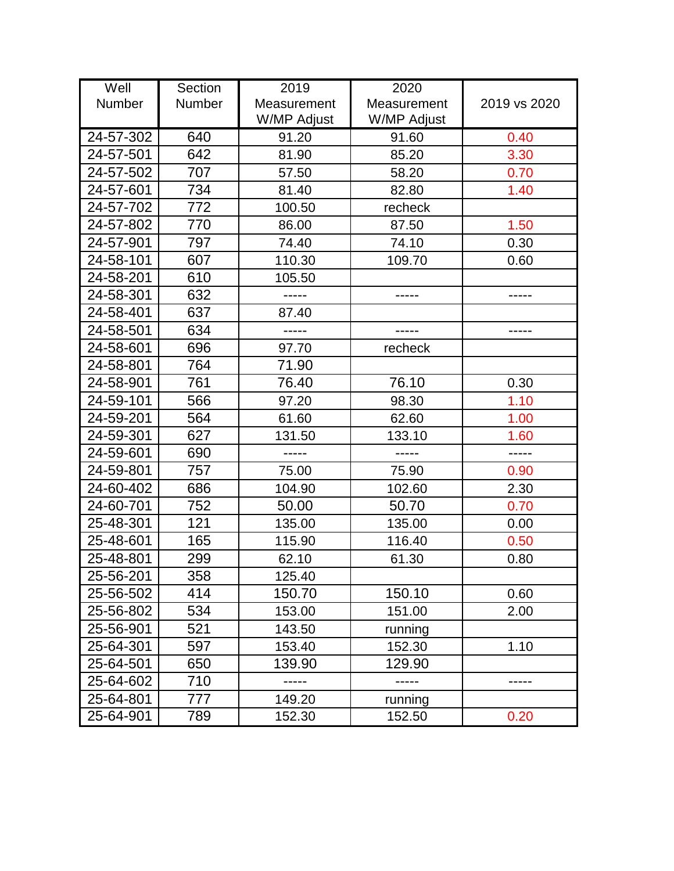| Well      | Section | 2019        | 2020        |              |
|-----------|---------|-------------|-------------|--------------|
| Number    | Number  | Measurement | Measurement | 2019 vs 2020 |
|           |         | W/MP Adjust | W/MP Adjust |              |
| 24-57-302 | 640     | 91.20       | 91.60       | 0.40         |
| 24-57-501 | 642     | 81.90       | 85.20       | 3.30         |
| 24-57-502 | 707     | 57.50       | 58.20       | 0.70         |
| 24-57-601 | 734     | 81.40       | 82.80       | 1.40         |
| 24-57-702 | 772     | 100.50      | recheck     |              |
| 24-57-802 | 770     | 86.00       | 87.50       | 1.50         |
| 24-57-901 | 797     | 74.40       | 74.10       | 0.30         |
| 24-58-101 | 607     | 110.30      | 109.70      | 0.60         |
| 24-58-201 | 610     | 105.50      |             |              |
| 24-58-301 | 632     | -----       |             |              |
| 24-58-401 | 637     | 87.40       |             |              |
| 24-58-501 | 634     |             |             |              |
| 24-58-601 | 696     | 97.70       | recheck     |              |
| 24-58-801 | 764     | 71.90       |             |              |
| 24-58-901 | 761     | 76.40       | 76.10       | 0.30         |
| 24-59-101 | 566     | 97.20       | 98.30       | 1.10         |
| 24-59-201 | 564     | 61.60       | 62.60       | 1.00         |
| 24-59-301 | 627     | 131.50      | 133.10      | 1.60         |
| 24-59-601 | 690     | -----       |             | -----        |
| 24-59-801 | 757     | 75.00       | 75.90       | 0.90         |
| 24-60-402 | 686     | 104.90      | 102.60      | 2.30         |
| 24-60-701 | 752     | 50.00       | 50.70       | 0.70         |
| 25-48-301 | 121     | 135.00      | 135.00      | 0.00         |
| 25-48-601 | 165     | 115.90      | 116.40      | 0.50         |
| 25-48-801 | 299     | 62.10       | 61.30       | 0.80         |
| 25-56-201 | 358     | 125.40      |             |              |
| 25-56-502 | 414     | 150.70      | 150.10      | 0.60         |
| 25-56-802 | 534     | 153.00      | 151.00      | 2.00         |
| 25-56-901 | 521     | 143.50      | running     |              |
| 25-64-301 | 597     | 153.40      | 152.30      | 1.10         |
| 25-64-501 | 650     | 139.90      | 129.90      |              |
| 25-64-602 | 710     |             |             |              |
| 25-64-801 | 777     | 149.20      | running     |              |
| 25-64-901 | 789     | 152.30      | 152.50      | 0.20         |